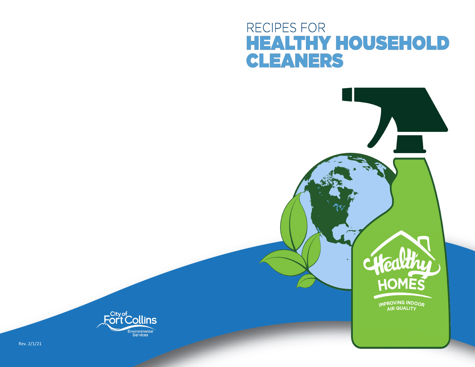# RECIPES FOR **HEALTHY HOUSEHOLD CLEANERS**



IMPROVING INDOOR



Rev. 2/1/21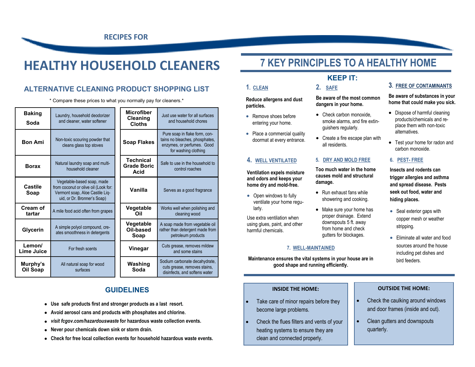**RECIPES FOR**

# **HEALTHY HOUSEHOLD CLEANERS**

### **ALTERNATIVE CLEANING PRODUCT SHOPPING LIST**

\* Compare these prices to what you normally pay for cleaners.\*

|                       |                                                                                                                                      | <b>Microfiber</b>                              |                                                                                                                       |
|-----------------------|--------------------------------------------------------------------------------------------------------------------------------------|------------------------------------------------|-----------------------------------------------------------------------------------------------------------------------|
| <b>Baking</b><br>Soda | Laundry, household deodorizer<br>and cleaner, water softener                                                                         | <b>Cleaning</b><br><b>Cloths</b>               | Just use water for all surfaces<br>and household chores                                                               |
| <b>Bon Ami</b>        | Non-toxic scouring powder that<br>cleans glass top stoves                                                                            | <b>Soap Flakes</b>                             | Pure soap in flake form, con-<br>tains no bleaches, phosphates,<br>enzymes, or perfumes. Good<br>for washing clothing |
| <b>Borax</b>          | Natural laundry soap and multi-<br>household cleaner                                                                                 | <b>Technical</b><br><b>Grade Boric</b><br>Acid | Safe to use in the household to<br>control roaches                                                                    |
| Castile<br>Soap       | Vegetable-based soap, made<br>from coconut or olive oil (Look for:<br>Vermont soap, Aloe Castile Liq-<br>uid, or Dr. Bronner's Soap) | Vanilla                                        | Serves as a good fragrance                                                                                            |
| Cream of<br>tartar    | A mile food acid often from grapes                                                                                                   | Vegetable<br>Oil                               | Works well when polishing and<br>cleaning wood                                                                        |
| Glycerin              | A simple polyol compound, cre-<br>ates smoothness in detergents                                                                      | Vegetable<br>Oil-based<br>Soap                 | A soap made from vegetable oil<br>rather than detergent made from<br>petroleum products                               |
| Lemon/<br>Lime Juice  | For fresh scents                                                                                                                     | Vinegar                                        | Cuts grease, removes mildew<br>and some stains                                                                        |
| Murphy's<br>Oil Soap  | All natural soap for wood<br>surfaces                                                                                                | Washing<br>Soda                                | Sodium carbonate decahydrate,<br>cuts grease, removes stains,<br>disinfects, and softens water                        |

## **GUIDELINES**

- **Use safe products first and stronger products as a last resort.**
- **Avoid aerosol cans and products with phosphates and chlorine.**
- *visit fcgov.com/hazardouswaste* **for hazardous waste collection events.**
- **Never pour chemicals down sink or storm drain.**
- **Check for free local collection events for household hazardous waste events.**

## **7 KEY PRINCIPLES TO A HEALTHY HOME**

**KEEP IT:**

## **1. CLEAN**

#### **Reduce allergens and dust particles.**

- Remove shoes before entering your home.
- Place a commercial quality doormat at every entrance.

### **4. WELL VENTILATED**

**Ventilation expels moisture and odors and keeps your home dry and mold-free.**

• Open windows to fully ventilate your home regularly.

Use extra ventilation when using glues, paint, and other harmful chemicals.

#### **7. WELL-MAINTAINED**

**Maintenance ensures the vital systems in your house are in good shape and running efficiently.**

#### **INSIDE THE HOME:**

- Take care of minor repairs before they become large problems.
- Check the flues filters and vents of your heating systems to ensure they are clean and connected properly.

#### **3. FREE OF CONTAMINANTS**

#### **Be aware of substances in your home that could make you sick.**

- Dispose of harmful cleaning products/chemicals and replace them with non-toxic alternatives.
- Test your home for radon and carbon monoxide.

#### **6. PEST- FREE**

**Insects and rodents can trigger allergies and asthma and spread disease. Pests seek out food, water and hiding places.**

- Seal exterior gaps with copper mesh or weather stripping.
- Eliminate all water and food sources around the house including pet dishes and bird feeders.

#### **OUTSIDE THE HOME:**

- Check the caulking around windows and door frames (inside and out).
- Clean gutters and downspouts quarterly.

### **2. SAFE Be aware of the most common**

**dangers in your home.** • Check carbon monoxide.

- smoke alarms, and fire extinguishers regularly.
- Create a fire escape plan with all residents.

#### **5. DRY AND MOLD FREE**

**Too much water in the home causes mold and structural damage.**

- Run exhaust fans while showering and cooking.
- Make sure your home has proper drainage. Extend downspouts 5 ft. away from home and check gutters for blockages.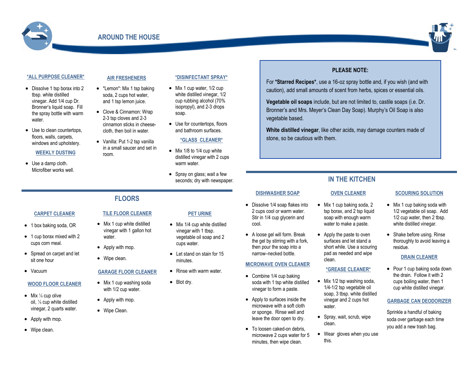



#### **\*ALL PURPOSE CLEANER\***

- Dissolve 1 tsp borax into 2 tbsp. white distilled vinegar. Add 1/4 cup Dr. Bronner's liquid soap. Fill the spray bottle with warm water.
- Use to clean countertops, floors, walls, carpets, windows and upholstery.

#### **WEEKLY DUSTING**

• Use a damp cloth. Microfiber works well.

#### **AIR FRESHENERS**

- \*Lemon\*: Mix 1 tsp baking soda, 2 cups hot water, and 1 tsp lemon juice.
- Clove & Cinnamon: Wrap 2-3 tsp cloves and 2-3 cinnamon sticks in cheesecloth, then boil in water.
- Vanilla: Put 1-2 tsp vanilla in a small saucer and set in room.

#### **\*DISINFECTANT SPRAY\***

- Mix 1 cup water, 1/2 cup white distilled vinegar,  $1/2$ cup rubbing alcohol (70% isopropyl), and 2-3 drops soap.
- Use for countertops, floors and bathroom surfaces.

#### **\*GLASS CLEANER\***

- Mix 1/8 to 1/4 cup white distilled vinegar with 2 cups warm water.
- Spray on glass; wait a few seconds; dry with newspaper. **IN THE KITCHEN**

### **FLOORS**

#### **CARPET CLEANER**

- 1 box baking soda, OR
- 1 cup borax mixed with 2 cups corn meal.
- Spread on carpet and let sit one hour
- Vacuum

#### **WOOD FLOOR CLEANER**

- Mix  $\frac{1}{8}$  cup olive oil, ⅛ cup white distilled vinegar, 2 quarts water.
- Apply with mop.
- Wipe clean.

#### **TILE FLOOR CLEANER**

- Mix 1 cup white distilled vinegar with 1 gallon hot water.
- Apply with mop.
- Wipe clean.

#### **GARAGE FLOOR CLEANER**

- Mix 1 cup washing soda with 1/2 cup water.
- Apply with mop.
- Wipe Clean.

#### **PET URINE**

- Mix 1/4 cup white distilled vinegar with 1 tbsp. vegetable oil soap and 2 cups water.
- Let stand on stain for 15 minutes.
- Rinse with warm water
- Blot dry.

**PLEASE NOTE:**

For **\*Starred Recipes\***, use a 16-oz spray bottle and, if you wish (and with caution), add small amounts of scent from herbs, spices or essential oils. **Vegetable oil soaps** include, but are not limited to, castile soaps (i.e. Dr. Bronner's and Mrs. Meyer's Clean Day Soap). Murphy's Oil Soap is also

**White distilled vinegar**, like other acids, may damage counters made of

#### **OVEN CLEANER**

• Mix 1 cup baking soda, 2 tsp borax, and 2 tsp liquid soap with enough warm water to make a paste. • Dissolve 1/4 soap flakes into 2 cups cool or warm water. Stir in 1/4 cup glycerin and

**DISHWASHER SOAP**

vegetable based.

stone, so be cautious with them.

• A loose gel will form. Break the gel by stirring with a fork, then pour the soap into a narrow–necked bottle.

• Combine 1/4 cup baking soda with 1 tsp white distilled vinegar to form a paste. • Apply to surfaces inside the microwave with a soft cloth or sponge. Rinse well and leave the door open to dry. • To loosen caked-on debris. microwave 2 cups water for 5 minutes, then wipe clean.

cool.

• Apply the paste to oven surfaces and let stand a short while. Use a scouring pad as needed and wipe clean. **MICROWAVE OVEN CLEANER**

#### **\*GREASE CLEANER\***

- Mix 1/2 tsp washing soda, 1/4-1/2 tsp vegetable oil soap, 3 tbsp. white distilled vinegar and 2 cups hot water.
- Spray, wait, scrub, wipe clean.
- Wear gloves when you use this.

#### **SCOURING SOLUTION**

- Mix 1 cup baking soda with 1/2 vegetable oil soap. Add 1/2 cup water, then 2 tbsp. white distilled vinegar.
- Shake before using. Rinse thoroughly to avoid leaving a residue.

#### **DRAIN CLEANER**

• Pour 1 cup baking soda down the drain. Follow it with 2 cups boiling water, then 1 cup white distilled vinegar.

#### **GARBAGE CAN DEODORIZER**

Sprinkle a handful of baking soda over garbage each time you add a new trash bag.